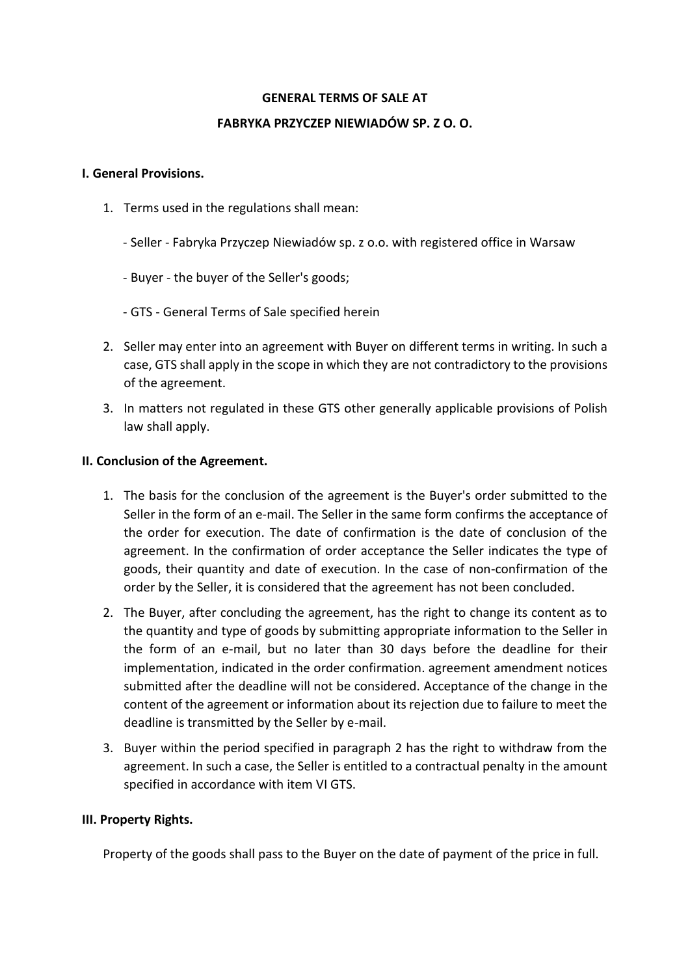#### **GENERAL TERMS OF SALE AT**

#### **FABRYKA PRZYCZEP NIEWIADÓW SP. Z O. O.**

#### **I. General Provisions.**

- 1. Terms used in the regulations shall mean:
	- Seller Fabryka Przyczep Niewiadów sp. z o.o. with registered office in Warsaw
	- Buyer the buyer of the Seller's goods;
	- GTS General Terms of Sale specified herein
- 2. Seller may enter into an agreement with Buyer on different terms in writing. In such a case, GTS shall apply in the scope in which they are not contradictory to the provisions of the agreement.
- 3. In matters not regulated in these GTS other generally applicable provisions of Polish law shall apply.

#### **II. Conclusion of the Agreement.**

- 1. The basis for the conclusion of the agreement is the Buyer's order submitted to the Seller in the form of an e-mail. The Seller in the same form confirms the acceptance of the order for execution. The date of confirmation is the date of conclusion of the agreement. In the confirmation of order acceptance the Seller indicates the type of goods, their quantity and date of execution. In the case of non-confirmation of the order by the Seller, it is considered that the agreement has not been concluded.
- 2. The Buyer, after concluding the agreement, has the right to change its content as to the quantity and type of goods by submitting appropriate information to the Seller in the form of an e-mail, but no later than 30 days before the deadline for their implementation, indicated in the order confirmation. agreement amendment notices submitted after the deadline will not be considered. Acceptance of the change in the content of the agreement or information about its rejection due to failure to meet the deadline is transmitted by the Seller by e-mail.
- 3. Buyer within the period specified in paragraph 2 has the right to withdraw from the agreement. In such a case, the Seller is entitled to a contractual penalty in the amount specified in accordance with item VI GTS.

#### **III. Property Rights.**

Property of the goods shall pass to the Buyer on the date of payment of the price in full.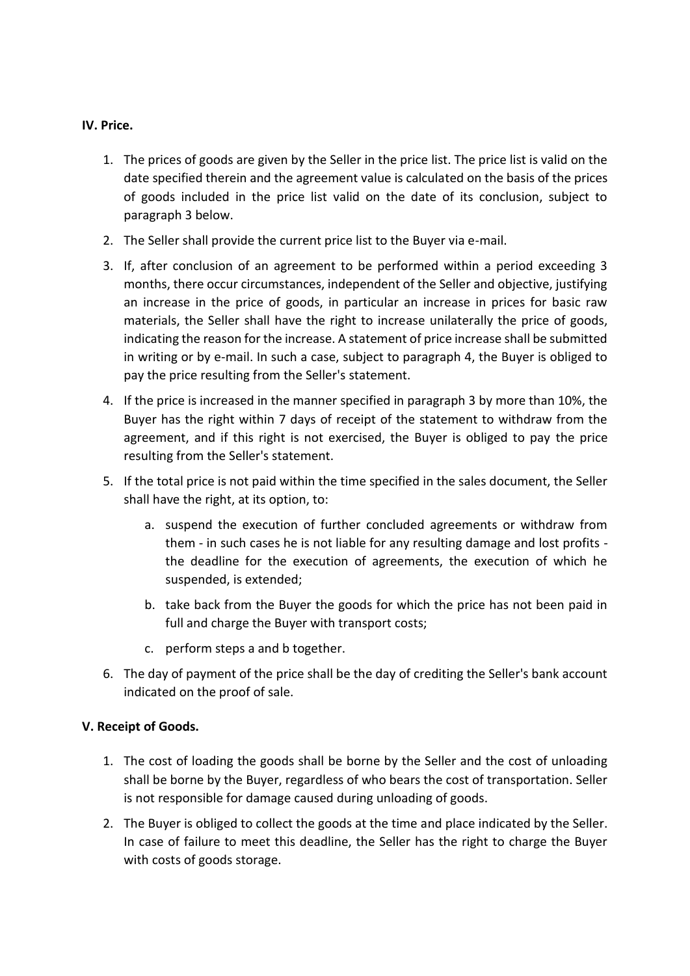# **IV. Price.**

- 1. The prices of goods are given by the Seller in the price list. The price list is valid on the date specified therein and the agreement value is calculated on the basis of the prices of goods included in the price list valid on the date of its conclusion, subject to paragraph 3 below.
- 2. The Seller shall provide the current price list to the Buyer via e-mail.
- 3. If, after conclusion of an agreement to be performed within a period exceeding 3 months, there occur circumstances, independent of the Seller and objective, justifying an increase in the price of goods, in particular an increase in prices for basic raw materials, the Seller shall have the right to increase unilaterally the price of goods, indicating the reason for the increase. A statement of price increase shall be submitted in writing or by e-mail. In such a case, subject to paragraph 4, the Buyer is obliged to pay the price resulting from the Seller's statement.
- 4. If the price is increased in the manner specified in paragraph 3 by more than 10%, the Buyer has the right within 7 days of receipt of the statement to withdraw from the agreement, and if this right is not exercised, the Buyer is obliged to pay the price resulting from the Seller's statement.
- 5. If the total price is not paid within the time specified in the sales document, the Seller shall have the right, at its option, to:
	- a. suspend the execution of further concluded agreements or withdraw from them - in such cases he is not liable for any resulting damage and lost profits the deadline for the execution of agreements, the execution of which he suspended, is extended;
	- b. take back from the Buyer the goods for which the price has not been paid in full and charge the Buyer with transport costs;
	- c. perform steps a and b together.
- 6. The day of payment of the price shall be the day of crediting the Seller's bank account indicated on the proof of sale.

# **V. Receipt of Goods.**

- 1. The cost of loading the goods shall be borne by the Seller and the cost of unloading shall be borne by the Buyer, regardless of who bears the cost of transportation. Seller is not responsible for damage caused during unloading of goods.
- 2. The Buyer is obliged to collect the goods at the time and place indicated by the Seller. In case of failure to meet this deadline, the Seller has the right to charge the Buyer with costs of goods storage.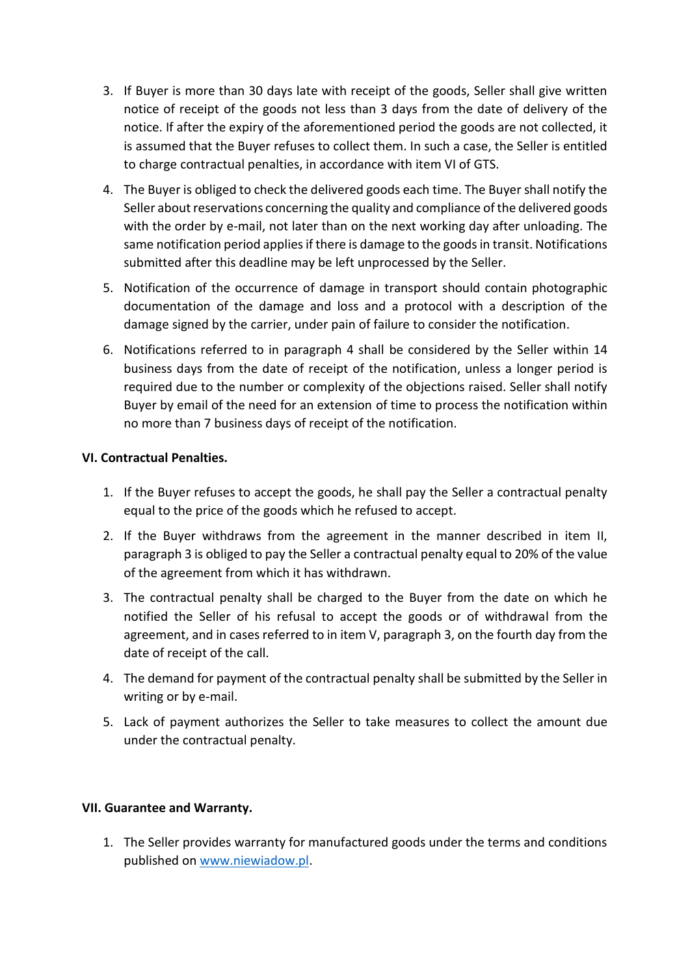- 3. If Buyer is more than 30 days late with receipt of the goods, Seller shall give written notice of receipt of the goods not less than 3 days from the date of delivery of the notice. If after the expiry of the aforementioned period the goods are not collected, it is assumed that the Buyer refuses to collect them. In such a case, the Seller is entitled to charge contractual penalties, in accordance with item VI of GTS.
- 4. The Buyer is obliged to check the delivered goods each time. The Buyer shall notify the Seller about reservations concerning the quality and compliance of the delivered goods with the order by e-mail, not later than on the next working day after unloading. The same notification period applies if there is damage to the goods in transit. Notifications submitted after this deadline may be left unprocessed by the Seller.
- 5. Notification of the occurrence of damage in transport should contain photographic documentation of the damage and loss and a protocol with a description of the damage signed by the carrier, under pain of failure to consider the notification.
- 6. Notifications referred to in paragraph 4 shall be considered by the Seller within 14 business days from the date of receipt of the notification, unless a longer period is required due to the number or complexity of the objections raised. Seller shall notify Buyer by email of the need for an extension of time to process the notification within no more than 7 business days of receipt of the notification.

# **VI. Contractual Penalties.**

- 1. If the Buyer refuses to accept the goods, he shall pay the Seller a contractual penalty equal to the price of the goods which he refused to accept.
- 2. If the Buyer withdraws from the agreement in the manner described in item II, paragraph 3 is obliged to pay the Seller a contractual penalty equal to 20% of the value of the agreement from which it has withdrawn.
- 3. The contractual penalty shall be charged to the Buyer from the date on which he notified the Seller of his refusal to accept the goods or of withdrawal from the agreement, and in cases referred to in item V, paragraph 3, on the fourth day from the date of receipt of the call.
- 4. The demand for payment of the contractual penalty shall be submitted by the Seller in writing or by e-mail.
- 5. Lack of payment authorizes the Seller to take measures to collect the amount due under the contractual penalty.

# **VII. Guarantee and Warranty.**

1. The Seller provides warranty for manufactured goods under the terms and conditions published on [www.niewiadow.pl.](http://www.niewiadow.pl/)